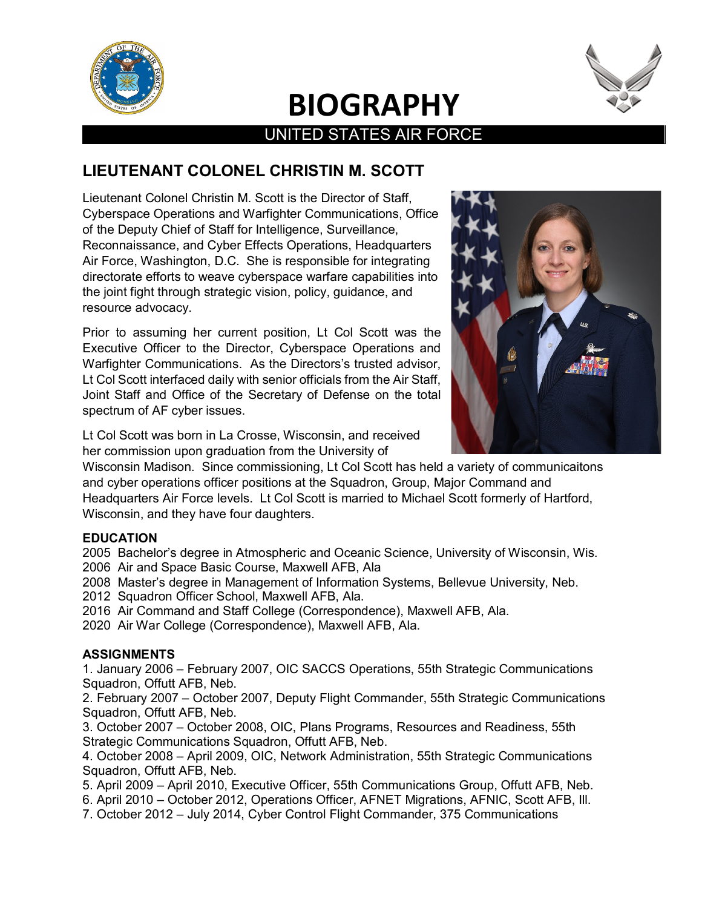

## **BIOGRAPHY**  UNITED STATES AIR FORCE



## **LIEUTENANT COLONEL CHRISTIN M. SCOTT**

Lieutenant Colonel Christin M. Scott is the Director of Staff, Cyberspace Operations and Warfighter Communications, Office of the Deputy Chief of Staff for Intelligence, Surveillance, Reconnaissance, and Cyber Effects Operations, Headquarters Air Force, Washington, D.C. She is responsible for integrating directorate efforts to weave cyberspace warfare capabilities into the joint fight through strategic vision, policy, guidance, and resource advocacy.

Prior to assuming her current position, Lt Col Scott was the Executive Officer to the Director, Cyberspace Operations and Warfighter Communications. As the Directors's trusted advisor, Lt Col Scott interfaced daily with senior officials from the Air Staff, Joint Staff and Office of the Secretary of Defense on the total spectrum of AF cyber issues.



Lt Col Scott was born in La Crosse, Wisconsin, and received her commission upon graduation from the University of

Wisconsin Madison. Since commissioning, Lt Col Scott has held a variety of communicaitons and cyber operations officer positions at the Squadron, Group, Major Command and Headquarters Air Force levels. Lt Col Scott is married to Michael Scott formerly of Hartford, Wisconsin, and they have four daughters.

### **EDUCATION**

2005 Bachelor's degree in Atmospheric and Oceanic Science, University of Wisconsin, Wis. 2006 Air and Space Basic Course, Maxwell AFB, Ala

2008 Master's degree in Management of Information Systems, Bellevue University, Neb.

2012 Squadron Officer School, Maxwell AFB, Ala.

- 2016 Air Command and Staff College (Correspondence), Maxwell AFB, Ala.
- 2020 Air War College (Correspondence), Maxwell AFB, Ala.

### **ASSIGNMENTS**

1. January 2006 – February 2007, OIC SACCS Operations, 55th Strategic Communications Squadron, Offutt AFB, Neb.

2. February 2007 – October 2007, Deputy Flight Commander, 55th Strategic Communications Squadron, Offutt AFB, Neb.

3. October 2007 – October 2008, OIC, Plans Programs, Resources and Readiness, 55th Strategic Communications Squadron, Offutt AFB, Neb.

4. October 2008 – April 2009, OIC, Network Administration, 55th Strategic Communications Squadron, Offutt AFB, Neb.

5. April 2009 – April 2010, Executive Officer, 55th Communications Group, Offutt AFB, Neb.

- 6. April 2010 October 2012, Operations Officer, AFNET Migrations, AFNIC, Scott AFB, Ill.
- 7. October 2012 July 2014, Cyber Control Flight Commander, 375 Communications